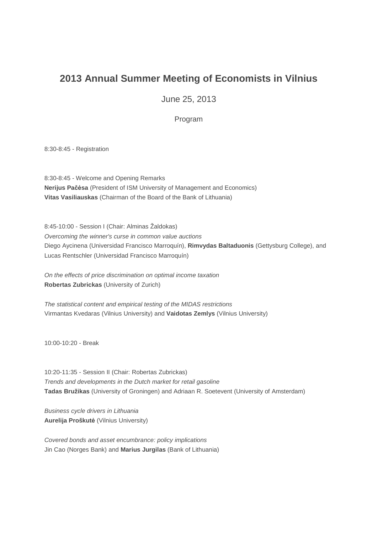## **2013 Annual Summer Meeting of Economists in Vilnius**

June 25, 2013

Program

8:30-8:45 - Registration

8:30-8:45 - Welcome and Opening Remarks **Nerijus Pačėsa** (President of ISM University of Management and Economics) **Vitas Vasiliauskas** (Chairman of the Board of the Bank of Lithuania)

8:45-10:00 - Session I (Chair: Alminas Žaldokas) Overcoming the winner's curse in common value auctions Diego Aycinena (Universidad Francisco Marroquín), **Rimvydas Baltaduonis** (Gettysburg College), and Lucas Rentschler (Universidad Francisco Marroquín)

On the effects of price discrimination on optimal income taxation **Robertas Zubrickas** (University of Zurich)

The statistical content and empirical testing of the MIDAS restrictions Virmantas Kvedaras (Vilnius University) and **Vaidotas Zemlys** (Vilnius University)

10:00-10:20 - Break

10:20-11:35 - Session II (Chair: Robertas Zubrickas) Trends and developments in the Dutch market for retail gasoline **Tadas Bružikas** (University of Groningen) and Adriaan R. Soetevent (University of Amsterdam)

Business cycle drivers in Lithuania **Aurelija Proškutė** (Vilnius University)

Covered bonds and asset encumbrance: policy implications Jin Cao (Norges Bank) and **Marius Jurgilas** (Bank of Lithuania)